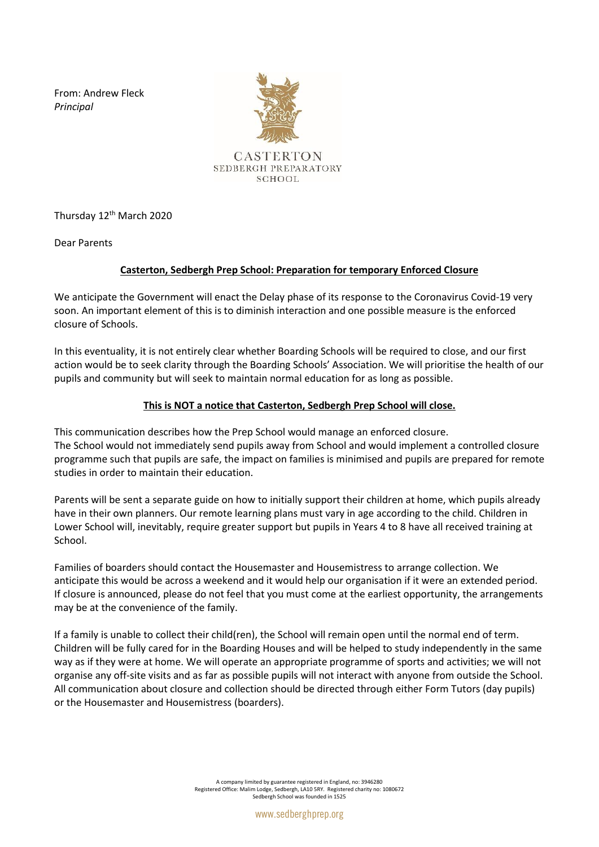From: Andrew Fleck *Principal* 



Thursday 12<sup>th</sup> March 2020

Dear Parents

## **Casterton, Sedbergh Prep School: Preparation for temporary Enforced Closure**

We anticipate the Government will enact the Delay phase of its response to the Coronavirus Covid-19 very soon. An important element of this is to diminish interaction and one possible measure is the enforced closure of Schools.

In this eventuality, it is not entirely clear whether Boarding Schools will be required to close, and our first action would be to seek clarity through the Boarding Schools' Association. We will prioritise the health of our pupils and community but will seek to maintain normal education for as long as possible.

## **This is NOT a notice that Casterton, Sedbergh Prep School will close.**

This communication describes how the Prep School would manage an enforced closure. The School would not immediately send pupils away from School and would implement a controlled closure programme such that pupils are safe, the impact on families is minimised and pupils are prepared for remote studies in order to maintain their education.

Parents will be sent a separate guide on how to initially support their children at home, which pupils already have in their own planners. Our remote learning plans must vary in age according to the child. Children in Lower School will, inevitably, require greater support but pupils in Years 4 to 8 have all received training at School.

Families of boarders should contact the Housemaster and Housemistress to arrange collection. We anticipate this would be across a weekend and it would help our organisation if it were an extended period. If closure is announced, please do not feel that you must come at the earliest opportunity, the arrangements may be at the convenience of the family.

If a family is unable to collect their child(ren), the School will remain open until the normal end of term. Children will be fully cared for in the Boarding Houses and will be helped to study independently in the same way as if they were at home. We will operate an appropriate programme of sports and activities; we will not organise any off-site visits and as far as possible pupils will not interact with anyone from outside the School. All communication about closure and collection should be directed through either Form Tutors (day pupils) or the Housemaster and Housemistress (boarders).

> A company limited by guarantee registered in England, no: 3946280 Registered Office: Malim Lodge, Sedbergh, LA10 5RY. Registered charity no: 1080672 Sedbergh School was founded in 1525